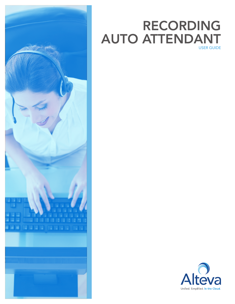

# RECORDING AUTO ATTENDANT USER GUIDE

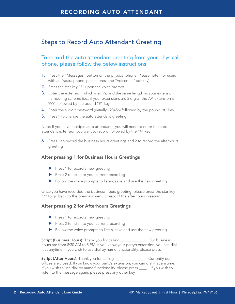# Steps to Record Auto Attendant Greeting

## To record the auto attendant greeting from your physical phone, please follow the below instructions:

- 1. Press the "Messages" button on the physical phone (Please note: For users with an Aastra phone, please press the "Voicemail" softkey)
- 2. Press the star key " $*$ " upon the voice prompt
- **3.** Enter the extension, which is all 9s, and the same length as your extension numbering scheme (i.e.: if your extensions are 3 digits, the AA extension is 999), followed by the pound "#" key.
- 4. Enter the 6 digit password (initially 123456) followed by the pound "#" key.
- **5.** Press 1 to change the auto attendant greeting

Note: If you have multiple auto attendants, you will need to enter the auto attendant extension you want to record, followed by the "#" key

6. Press 1 to record the business hours greetings and 2 to record the afterhours greeting

#### After pressing 1 for Business Hours Greetings

- $\blacktriangleright$  Press 1 to record a new greeting
- $\blacktriangleright$  Press 2 to listen to your current recording
- $\blacktriangleright$  Follow the voice prompts to listen, save and use the new greeting.

Once you have recorded the business hours greeting, please press the star key "\*" to go back to the previous menu to record the afterhours greeting

#### After pressing 2 for Afterhours Greetings

- $\blacktriangleright$  Press 1 to record a new greeting
- $\blacktriangleright$  Press 2 to listen to your current recording
- $\blacktriangleright$  Follow the voice prompts to listen, save and use the new greeting.

Script (Business Hours): Thank you for calling The Cour business hours are from 8:30 AM to 5 PM. If you know your party's extension, you can dial it at anytime. If you wish to use dial by name functionality, please press \_\_\_\_\_\_.

Script (After Hours): Thank you for calling \_\_\_\_\_\_\_\_\_\_\_\_\_\_\_. Currently our offices are closed. If you know your party's extension, you can dial it at anytime. If you wish to use dial by name functionality, please press \_\_\_\_. If you wish to listen to the message again, please press any other key.